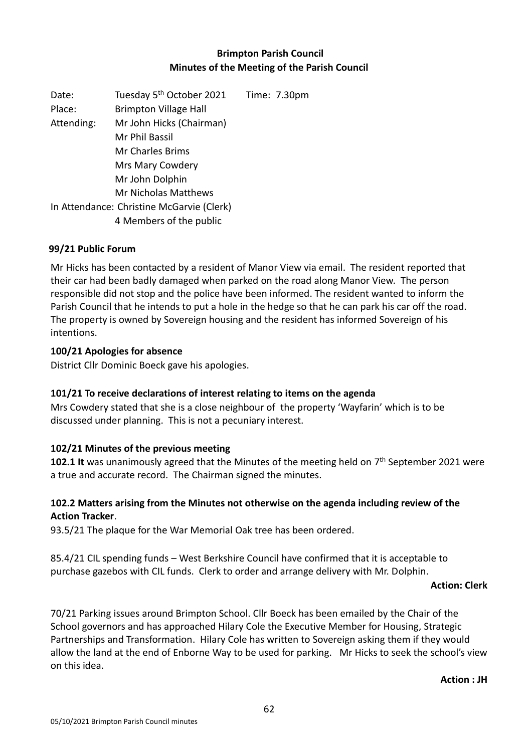# **Brimpton Parish Council Minutes of the Meeting of the Parish Council**

Date: Tuesday 5<sup>th</sup> October 2021 Time: 7.30pm Place: Brimpton Village Hall Attending: Mr John Hicks (Chairman) Mr Phil Bassil Mr Charles Brims Mrs Mary Cowdery Mr John Dolphin Mr Nicholas Matthews In Attendance: Christine McGarvie (Clerk) 4 Members of the public

## **99/21 Public Forum**

Mr Hicks has been contacted by a resident of Manor View via email. The resident reported that their car had been badly damaged when parked on the road along Manor View. The person responsible did not stop and the police have been informed. The resident wanted to inform the Parish Council that he intends to put a hole in the hedge so that he can park his car off the road. The property is owned by Sovereign housing and the resident has informed Sovereign of his intentions.

## **100/21 Apologies for absence**

District Cllr Dominic Boeck gave his apologies.

## **101/21 To receive declarations of interest relating to items on the agenda**

Mrs Cowdery stated that she is a close neighbour of the property 'Wayfarin' which is to be discussed under planning. This is not a pecuniary interest.

### **102/21 Minutes of the previous meeting**

102.1 It was unanimously agreed that the Minutes of the meeting held on 7<sup>th</sup> September 2021 were a true and accurate record. The Chairman signed the minutes.

## **102.2 Matters arising from the Minutes not otherwise on the agenda including review of the Action Tracker**.

93.5/21 The plaque for the War Memorial Oak tree has been ordered.

85.4/21 CIL spending funds – West Berkshire Council have confirmed that it is acceptable to purchase gazebos with CIL funds. Clerk to order and arrange delivery with Mr. Dolphin.

#### **Action: Clerk**

70/21 Parking issues around Brimpton School. Cllr Boeck has been emailed by the Chair of the School governors and has approached Hilary Cole the Executive Member for Housing, Strategic Partnerships and Transformation. Hilary Cole has written to Sovereign asking them if they would allow the land at the end of Enborne Way to be used for parking. Mr Hicks to seek the school's view on this idea.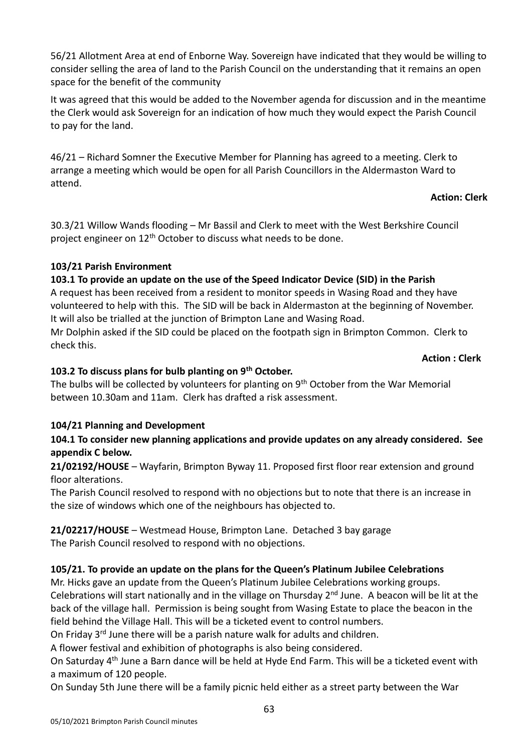56/21 Allotment Area at end of Enborne Way. Sovereign have indicated that they would be willing to consider selling the area of land to the Parish Council on the understanding that it remains an open space for the benefit of the community

It was agreed that this would be added to the November agenda for discussion and in the meantime the Clerk would ask Sovereign for an indication of how much they would expect the Parish Council to pay for the land.

46/21 – Richard Somner the Executive Member for Planning has agreed to a meeting. Clerk to arrange a meeting which would be open for all Parish Councillors in the Aldermaston Ward to attend.

## **Action: Clerk**

30.3/21 Willow Wands flooding – Mr Bassil and Clerk to meet with the West Berkshire Council project engineer on  $12<sup>th</sup>$  October to discuss what needs to be done.

## **103/21 Parish Environment**

## **103.1 To provide an update on the use of the Speed Indicator Device (SID) in the Parish**

A request has been received from a resident to monitor speeds in Wasing Road and they have volunteered to help with this. The SID will be back in Aldermaston at the beginning of November. It will also be trialled at the junction of Brimpton Lane and Wasing Road.

Mr Dolphin asked if the SID could be placed on the footpath sign in Brimpton Common. Clerk to check this.

**Action : Clerk** 

## **103.2 To discuss plans for bulb planting on 9th October.**

The bulbs will be collected by volunteers for planting on 9<sup>th</sup> October from the War Memorial between 10.30am and 11am. Clerk has drafted a risk assessment.

# **104/21 Planning and Development**

## **104.1 To consider new planning applications and provide updates on any already considered. See appendix C below.**

**21/02192/HOUSE** – Wayfarin, Brimpton Byway 11. Proposed first floor rear extension and ground floor alterations.

The Parish Council resolved to respond with no objections but to note that there is an increase in the size of windows which one of the neighbours has objected to.

**21/02217/HOUSE** – Westmead House, Brimpton Lane. Detached 3 bay garage The Parish Council resolved to respond with no objections.

# **105/21. To provide an update on the plans for the Queen's Platinum Jubilee Celebrations**

Mr. Hicks gave an update from the Queen's Platinum Jubilee Celebrations working groups.

Celebrations will start nationally and in the village on Thursday 2nd June. A beacon will be lit at the back of the village hall. Permission is being sought from Wasing Estate to place the beacon in the field behind the Village Hall. This will be a ticketed event to control numbers.

On Friday 3rd June there will be a parish nature walk for adults and children.

A flower festival and exhibition of photographs is also being considered.

On Saturday 4th June a Barn dance will be held at Hyde End Farm. This will be a ticketed event with a maximum of 120 people.

On Sunday 5th June there will be a family picnic held either as a street party between the War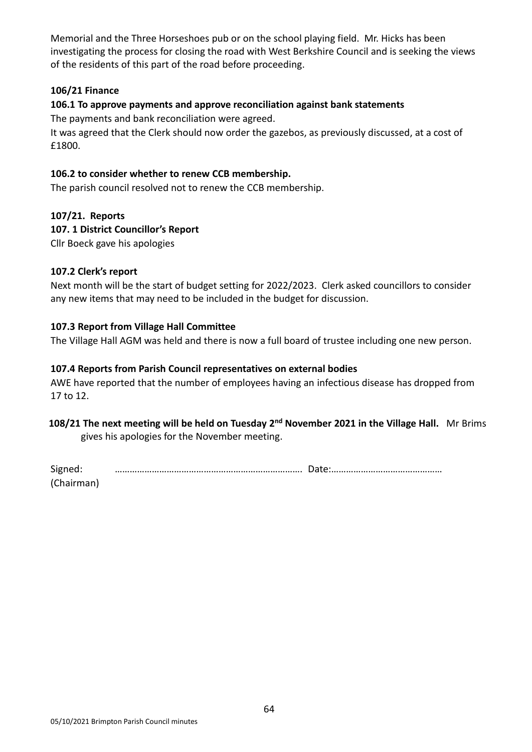Memorial and the Three Horseshoes pub or on the school playing field. Mr. Hicks has been investigating the process for closing the road with West Berkshire Council and is seeking the views of the residents of this part of the road before proceeding.

## **106/21 Finance**

## **106.1 To approve payments and approve reconciliation against bank statements**

The payments and bank reconciliation were agreed.

It was agreed that the Clerk should now order the gazebos, as previously discussed, at a cost of £1800.

### **106.2 to consider whether to renew CCB membership.**

The parish council resolved not to renew the CCB membership.

## **107/21. Reports**

## **107. 1 District Councillor's Report**

Cllr Boeck gave his apologies

### **107.2 Clerk's report**

Next month will be the start of budget setting for 2022/2023. Clerk asked councillors to consider any new items that may need to be included in the budget for discussion.

## **107.3 Report from Village Hall Committee**

The Village Hall AGM was held and there is now a full board of trustee including one new person.

### **107.4 Reports from Parish Council representatives on external bodies**

AWE have reported that the number of employees having an infectious disease has dropped from 17 to 12.

# 108/21 The next meeting will be held on Tuesday 2<sup>nd</sup> November 2021 in the Village Hall. Mr Brims

gives his apologies for the November meeting.

| Signed:    |  |
|------------|--|
| (Chairman) |  |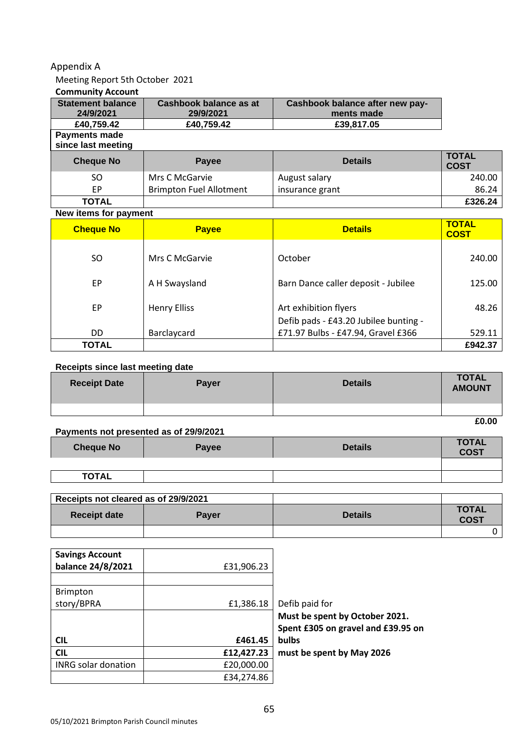#### Appendix A

## Meeting Report 5th October 2021

### **Community Account**

| <b>Statement balance</b><br>24/9/2021 | Cashbook balance as at<br>29/9/2021 | Cashbook balance after new pay-<br>ments made |                             |
|---------------------------------------|-------------------------------------|-----------------------------------------------|-----------------------------|
| £40,759.42                            | £40,759.42                          | £39,817.05                                    |                             |
| Payments made<br>since last meeting   |                                     |                                               |                             |
| <b>Cheque No</b>                      | Payee                               | <b>Details</b>                                | <b>TOTAL</b><br><b>COST</b> |
| SO.                                   | Mrs C McGarvie                      | August salary                                 | 240.00                      |
| EP.                                   | <b>Brimpton Fuel Allotment</b>      | insurance grant                               | 86.24                       |
| <b>TOTAL</b>                          |                                     |                                               | £326.24                     |

#### **New items for payment**

| <b>Cheque No</b> | <b>Payee</b>        | <b>Details</b>                                                 | <b>TOTAL</b><br><b>COST</b> |
|------------------|---------------------|----------------------------------------------------------------|-----------------------------|
| SO.              | Mrs C McGarvie      | October                                                        | 240.00                      |
| EP               | A H Swaysland       | Barn Dance caller deposit - Jubilee                            | 125.00                      |
| EP.              | <b>Henry Elliss</b> | Art exhibition flyers<br>Defib pads - £43.20 Jubilee bunting - | 48.26                       |
| DD               | Barclaycard         | £71.97 Bulbs - £47.94, Gravel £366                             | 529.11                      |
| TOTAL            |                     |                                                                | £942.37                     |

#### **Receipts since last meeting date**

| <b>Receipt Date</b> | Payer | <b>Details</b> | <b>TOTAL</b><br><b>AMOUNT</b> |
|---------------------|-------|----------------|-------------------------------|
|                     |       |                |                               |
|                     |       |                | £0.00                         |

#### **Payments not presented as of 29/9/2021**

| <b>Cheque No</b> | Payee | <b>Details</b> | <b>TOTAL</b><br>COST |
|------------------|-------|----------------|----------------------|
|                  |       |                |                      |
| <b>TOTAL</b>     |       |                |                      |
|                  |       |                |                      |

| Receipts not cleared as of 29/9/2021 |       |                |                             |
|--------------------------------------|-------|----------------|-----------------------------|
| <b>Receipt date</b>                  | Paver | <b>Details</b> | <b>TOTAL</b><br><b>COST</b> |
|                                      |       |                |                             |

| <b>Savings Account</b><br>balance 24/8/2021 | £31,906.23 |                                    |
|---------------------------------------------|------------|------------------------------------|
|                                             |            |                                    |
| <b>Brimpton</b>                             |            |                                    |
| story/BPRA                                  | £1,386.18  | Defib paid for                     |
|                                             |            | Must be spent by October 2021.     |
|                                             |            | Spent £305 on gravel and £39.95 on |
| <b>CIL</b>                                  | £461.45    | <b>bulbs</b>                       |
| <b>CIL</b>                                  | £12,427.23 | must be spent by May 2026          |
| <b>INRG solar donation</b>                  | £20,000.00 |                                    |
|                                             | £34,274.86 |                                    |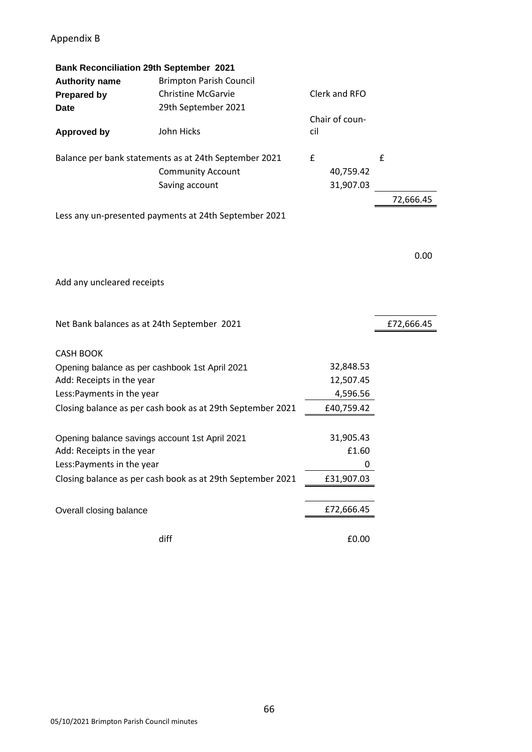# Appendix B

| <b>Bank Reconciliation 29th September 2021</b> |                                                            |     |                |            |
|------------------------------------------------|------------------------------------------------------------|-----|----------------|------------|
| <b>Authority name</b>                          | <b>Brimpton Parish Council</b>                             |     |                |            |
| <b>Prepared by</b>                             | <b>Christine McGarvie</b>                                  |     | Clerk and RFO  |            |
| <b>Date</b>                                    | 29th September 2021                                        |     |                |            |
|                                                |                                                            |     | Chair of coun- |            |
| <b>Approved by</b>                             | John Hicks                                                 | cil |                |            |
|                                                | Balance per bank statements as at 24th September 2021      | £   |                | £          |
|                                                | <b>Community Account</b>                                   |     | 40,759.42      |            |
|                                                | Saving account                                             |     | 31,907.03      |            |
|                                                |                                                            |     |                | 72,666.45  |
|                                                | Less any un-presented payments at 24th September 2021      |     |                |            |
|                                                |                                                            |     |                |            |
|                                                |                                                            |     |                | 0.00       |
| Add any uncleared receipts                     |                                                            |     |                |            |
| Net Bank balances as at 24th September 2021    |                                                            |     |                | £72,666.45 |
| <b>CASH BOOK</b>                               |                                                            |     |                |            |
| Opening balance as per cashbook 1st April 2021 |                                                            |     | 32,848.53      |            |
| Add: Receipts in the year                      |                                                            |     | 12,507.45      |            |
| Less: Payments in the year                     |                                                            |     | 4,596.56       |            |
|                                                | Closing balance as per cash book as at 29th September 2021 |     | £40,759.42     |            |
| Opening balance savings account 1st April 2021 |                                                            |     | 31,905.43      |            |
| Add: Receipts in the year                      |                                                            |     | £1.60          |            |
| Less: Payments in the year                     |                                                            |     | 0              |            |
|                                                | Closing balance as per cash book as at 29th September 2021 |     | £31,907.03     |            |
|                                                |                                                            |     |                |            |
| Overall closing balance                        |                                                            |     | £72,666.45     |            |
|                                                | diff                                                       |     | £0.00          |            |